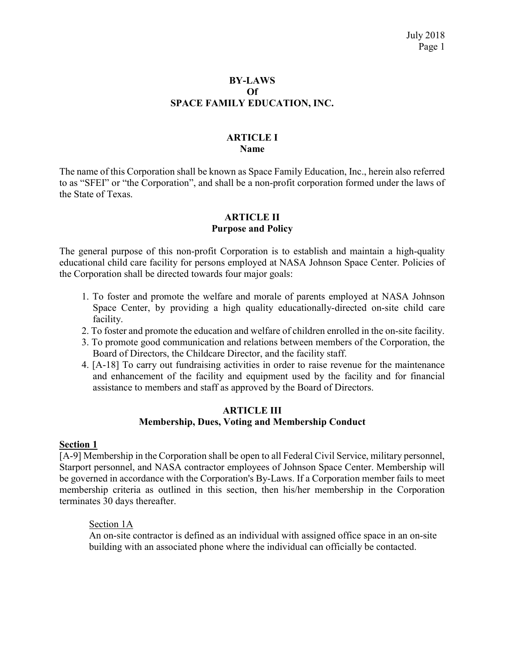### BY-LAWS Of SPACE FAMILY EDUCATION, INC.

### ARTICLE I Name

The name of this Corporation shall be known as Space Family Education, Inc., herein also referred to as "SFEI" or "the Corporation", and shall be a non-profit corporation formed under the laws of the State of Texas.

## ARTICLE II Purpose and Policy

The general purpose of this non-profit Corporation is to establish and maintain a high-quality educational child care facility for persons employed at NASA Johnson Space Center. Policies of the Corporation shall be directed towards four major goals:

- 1. To foster and promote the welfare and morale of parents employed at NASA Johnson Space Center, by providing a high quality educationally-directed on-site child care facility.
- 2. To foster and promote the education and welfare of children enrolled in the on-site facility.
- 3. To promote good communication and relations between members of the Corporation, the Board of Directors, the Childcare Director, and the facility staff.
- 4. [A-18] To carry out fundraising activities in order to raise revenue for the maintenance and enhancement of the facility and equipment used by the facility and for financial assistance to members and staff as approved by the Board of Directors.

### ARTICLE III Membership, Dues, Voting and Membership Conduct

### Section 1

[A-9] Membership in the Corporation shall be open to all Federal Civil Service, military personnel, Starport personnel, and NASA contractor employees of Johnson Space Center. Membership will be governed in accordance with the Corporation's By-Laws. If a Corporation member fails to meet membership criteria as outlined in this section, then his/her membership in the Corporation terminates 30 days thereafter.

### Section 1A

An on-site contractor is defined as an individual with assigned office space in an on-site building with an associated phone where the individual can officially be contacted.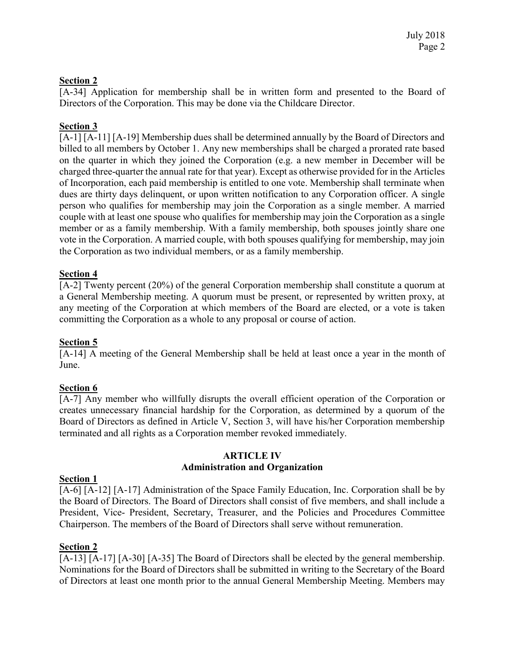## Section 2

[A-34] Application for membership shall be in written form and presented to the Board of Directors of the Corporation. This may be done via the Childcare Director.

# Section 3

[A-1] [A-11] [A-19] Membership dues shall be determined annually by the Board of Directors and billed to all members by October 1. Any new memberships shall be charged a prorated rate based on the quarter in which they joined the Corporation (e.g. a new member in December will be charged three-quarter the annual rate for that year). Except as otherwise provided for in the Articles of Incorporation, each paid membership is entitled to one vote. Membership shall terminate when dues are thirty days delinquent, or upon written notification to any Corporation officer. A single person who qualifies for membership may join the Corporation as a single member. A married couple with at least one spouse who qualifies for membership may join the Corporation as a single member or as a family membership. With a family membership, both spouses jointly share one vote in the Corporation. A married couple, with both spouses qualifying for membership, may join the Corporation as two individual members, or as a family membership.

# Section 4

[A-2] Twenty percent (20%) of the general Corporation membership shall constitute a quorum at a General Membership meeting. A quorum must be present, or represented by written proxy, at any meeting of the Corporation at which members of the Board are elected, or a vote is taken committing the Corporation as a whole to any proposal or course of action.

## Section 5

[A-14] A meeting of the General Membership shall be held at least once a year in the month of June.

# Section 6

[A-7] Any member who willfully disrupts the overall efficient operation of the Corporation or creates unnecessary financial hardship for the Corporation, as determined by a quorum of the Board of Directors as defined in Article V, Section 3, will have his/her Corporation membership terminated and all rights as a Corporation member revoked immediately.

### ARTICLE IV Administration and Organization

## Section 1

[A-6] [A-12] [A-17] Administration of the Space Family Education, Inc. Corporation shall be by the Board of Directors. The Board of Directors shall consist of five members, and shall include a President, Vice- President, Secretary, Treasurer, and the Policies and Procedures Committee Chairperson. The members of the Board of Directors shall serve without remuneration.

# Section 2

[A-13] [A-17] [A-30] [A-35] The Board of Directors shall be elected by the general membership. Nominations for the Board of Directors shall be submitted in writing to the Secretary of the Board of Directors at least one month prior to the annual General Membership Meeting. Members may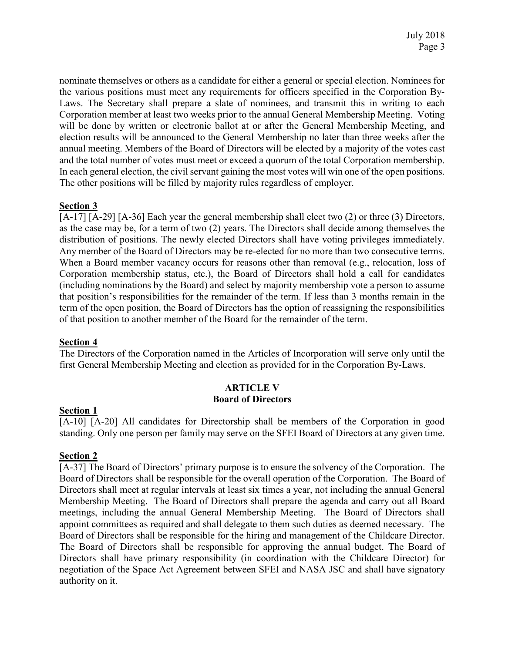nominate themselves or others as a candidate for either a general or special election. Nominees for the various positions must meet any requirements for officers specified in the Corporation By-Laws. The Secretary shall prepare a slate of nominees, and transmit this in writing to each Corporation member at least two weeks prior to the annual General Membership Meeting. Voting will be done by written or electronic ballot at or after the General Membership Meeting, and election results will be announced to the General Membership no later than three weeks after the annual meeting. Members of the Board of Directors will be elected by a majority of the votes cast and the total number of votes must meet or exceed a quorum of the total Corporation membership. In each general election, the civil servant gaining the most votes will win one of the open positions. The other positions will be filled by majority rules regardless of employer.

### Section 3

[A-17] [A-29] [A-36] Each year the general membership shall elect two (2) or three (3) Directors, as the case may be, for a term of two (2) years. The Directors shall decide among themselves the distribution of positions. The newly elected Directors shall have voting privileges immediately. Any member of the Board of Directors may be re-elected for no more than two consecutive terms. When a Board member vacancy occurs for reasons other than removal (e.g., relocation, loss of Corporation membership status, etc.), the Board of Directors shall hold a call for candidates (including nominations by the Board) and select by majority membership vote a person to assume that position's responsibilities for the remainder of the term. If less than 3 months remain in the term of the open position, the Board of Directors has the option of reassigning the responsibilities of that position to another member of the Board for the remainder of the term.

## Section 4

The Directors of the Corporation named in the Articles of Incorporation will serve only until the first General Membership Meeting and election as provided for in the Corporation By-Laws.

### ARTICLE V Board of Directors

### Section 1

[A-10] [A-20] All candidates for Directorship shall be members of the Corporation in good standing. Only one person per family may serve on the SFEI Board of Directors at any given time.

### Section 2

[A-37] The Board of Directors' primary purpose is to ensure the solvency of the Corporation. The Board of Directors shall be responsible for the overall operation of the Corporation. The Board of Directors shall meet at regular intervals at least six times a year, not including the annual General Membership Meeting. The Board of Directors shall prepare the agenda and carry out all Board meetings, including the annual General Membership Meeting. The Board of Directors shall appoint committees as required and shall delegate to them such duties as deemed necessary. The Board of Directors shall be responsible for the hiring and management of the Childcare Director. The Board of Directors shall be responsible for approving the annual budget. The Board of Directors shall have primary responsibility (in coordination with the Childcare Director) for negotiation of the Space Act Agreement between SFEI and NASA JSC and shall have signatory authority on it.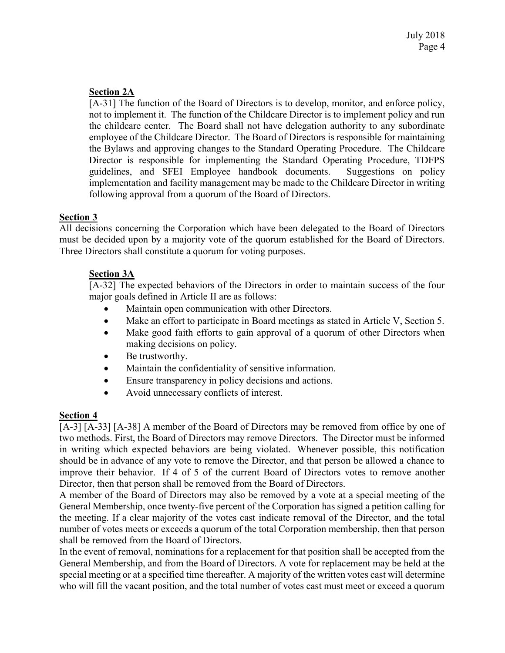## Section 2A

[A-31] The function of the Board of Directors is to develop, monitor, and enforce policy, not to implement it. The function of the Childcare Director is to implement policy and run the childcare center. The Board shall not have delegation authority to any subordinate employee of the Childcare Director. The Board of Directors is responsible for maintaining the Bylaws and approving changes to the Standard Operating Procedure. The Childcare Director is responsible for implementing the Standard Operating Procedure, TDFPS guidelines, and SFEI Employee handbook documents. Suggestions on policy implementation and facility management may be made to the Childcare Director in writing following approval from a quorum of the Board of Directors.

# Section 3

All decisions concerning the Corporation which have been delegated to the Board of Directors must be decided upon by a majority vote of the quorum established for the Board of Directors. Three Directors shall constitute a quorum for voting purposes.

### Section 3A

[A-32] The expected behaviors of the Directors in order to maintain success of the four major goals defined in Article II are as follows:

- Maintain open communication with other Directors.
- Make an effort to participate in Board meetings as stated in Article V, Section 5.
- Make good faith efforts to gain approval of a quorum of other Directors when making decisions on policy.
- Be trustworthy.
- Maintain the confidentiality of sensitive information.
- Ensure transparency in policy decisions and actions.
- Avoid unnecessary conflicts of interest.

## Section 4

[A-3] [A-33] [A-38] A member of the Board of Directors may be removed from office by one of two methods. First, the Board of Directors may remove Directors. The Director must be informed in writing which expected behaviors are being violated. Whenever possible, this notification should be in advance of any vote to remove the Director, and that person be allowed a chance to improve their behavior. If 4 of 5 of the current Board of Directors votes to remove another Director, then that person shall be removed from the Board of Directors.

A member of the Board of Directors may also be removed by a vote at a special meeting of the General Membership, once twenty-five percent of the Corporation has signed a petition calling for the meeting. If a clear majority of the votes cast indicate removal of the Director, and the total number of votes meets or exceeds a quorum of the total Corporation membership, then that person shall be removed from the Board of Directors.

In the event of removal, nominations for a replacement for that position shall be accepted from the General Membership, and from the Board of Directors. A vote for replacement may be held at the special meeting or at a specified time thereafter. A majority of the written votes cast will determine who will fill the vacant position, and the total number of votes cast must meet or exceed a quorum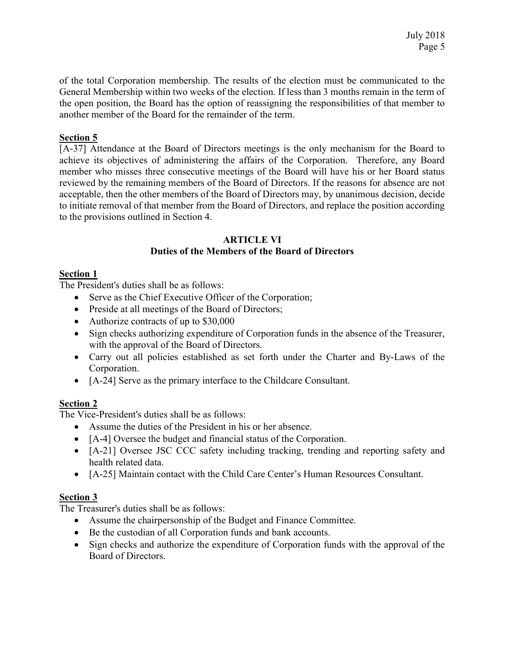of the total Corporation membership. The results of the election must be communicated to the General Membership within two weeks of the election. If less than 3 months remain in the term of the open position, the Board has the option of reassigning the responsibilities of that member to another member of the Board for the remainder of the term.

### Section 5

[A-37] Attendance at the Board of Directors meetings is the only mechanism for the Board to achieve its objectives of administering the affairs of the Corporation. Therefore, any Board member who misses three consecutive meetings of the Board will have his or her Board status reviewed by the remaining members of the Board of Directors. If the reasons for absence are not acceptable, then the other members of the Board of Directors may, by unanimous decision, decide to initiate removal of that member from the Board of Directors, and replace the position according to the provisions outlined in Section 4.

### ARTICLE VI Duties of the Members of the Board of Directors

### Section 1

The President's duties shall be as follows:

- Serve as the Chief Executive Officer of the Corporation;
- Preside at all meetings of the Board of Directors;
- Authorize contracts of up to \$30,000
- Sign checks authorizing expenditure of Corporation funds in the absence of the Treasurer, with the approval of the Board of Directors.
- Carry out all policies established as set forth under the Charter and By-Laws of the Corporation.
- [A-24] Serve as the primary interface to the Childcare Consultant.

# Section 2

The Vice-President's duties shall be as follows:

- Assume the duties of the President in his or her absence.
- [A-4] Oversee the budget and financial status of the Corporation.
- [A-21] Oversee JSC CCC safety including tracking, trending and reporting safety and health related data.
- [A-25] Maintain contact with the Child Care Center's Human Resources Consultant.

# Section 3

The Treasurer's duties shall be as follows:

- Assume the chairpersonship of the Budget and Finance Committee.
- Be the custodian of all Corporation funds and bank accounts.
- Sign checks and authorize the expenditure of Corporation funds with the approval of the Board of Directors.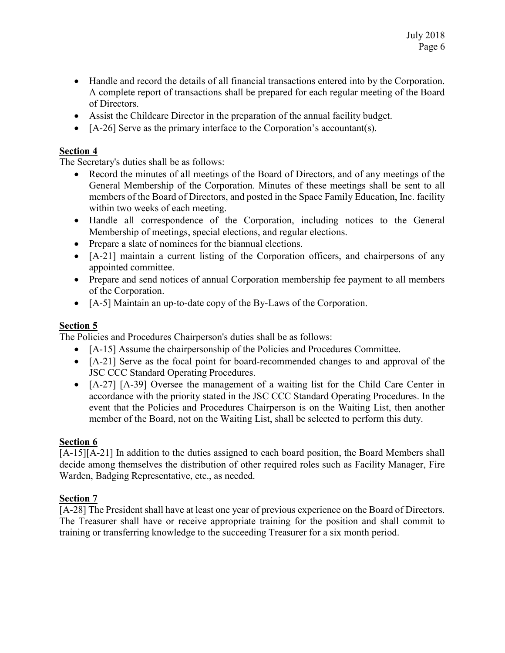- Handle and record the details of all financial transactions entered into by the Corporation. A complete report of transactions shall be prepared for each regular meeting of the Board of Directors.
- Assist the Childcare Director in the preparation of the annual facility budget.
- $\bullet$  [A-26] Serve as the primary interface to the Corporation's accountant(s).

# Section 4

The Secretary's duties shall be as follows:

- Record the minutes of all meetings of the Board of Directors, and of any meetings of the General Membership of the Corporation. Minutes of these meetings shall be sent to all members of the Board of Directors, and posted in the Space Family Education, Inc. facility within two weeks of each meeting.
- Handle all correspondence of the Corporation, including notices to the General Membership of meetings, special elections, and regular elections.
- Prepare a slate of nominees for the biannual elections.
- [A-21] maintain a current listing of the Corporation officers, and chairpersons of any appointed committee.
- Prepare and send notices of annual Corporation membership fee payment to all members of the Corporation.
- [A-5] Maintain an up-to-date copy of the By-Laws of the Corporation.

# Section 5

The Policies and Procedures Chairperson's duties shall be as follows:

- [A-15] Assume the chairpersonship of the Policies and Procedures Committee.
- [A-21] Serve as the focal point for board-recommended changes to and approval of the JSC CCC Standard Operating Procedures.
- [A-27] [A-39] Oversee the management of a waiting list for the Child Care Center in accordance with the priority stated in the JSC CCC Standard Operating Procedures. In the event that the Policies and Procedures Chairperson is on the Waiting List, then another member of the Board, not on the Waiting List, shall be selected to perform this duty.

# Section 6

[A-15][A-21] In addition to the duties assigned to each board position, the Board Members shall decide among themselves the distribution of other required roles such as Facility Manager, Fire Warden, Badging Representative, etc., as needed.

# Section 7

[A-28] The President shall have at least one year of previous experience on the Board of Directors. The Treasurer shall have or receive appropriate training for the position and shall commit to training or transferring knowledge to the succeeding Treasurer for a six month period.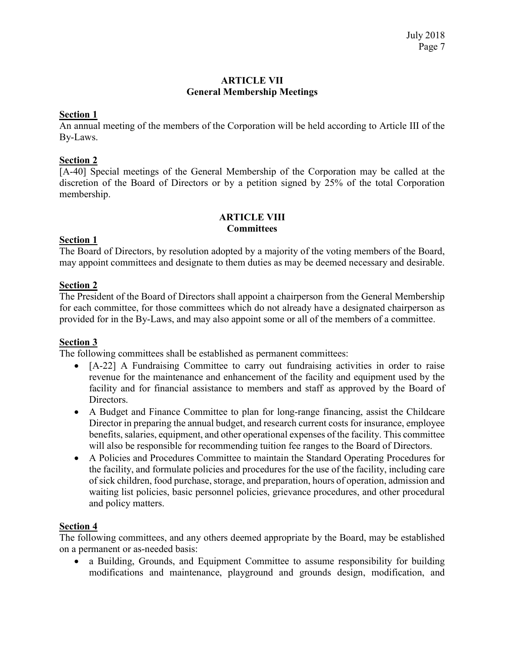### ARTICLE VII General Membership Meetings

### Section 1

An annual meeting of the members of the Corporation will be held according to Article III of the By-Laws.

### Section 2

[A-40] Special meetings of the General Membership of the Corporation may be called at the discretion of the Board of Directors or by a petition signed by 25% of the total Corporation membership.

## ARTICLE VIII **Committees**

## Section 1

The Board of Directors, by resolution adopted by a majority of the voting members of the Board, may appoint committees and designate to them duties as may be deemed necessary and desirable.

### Section 2

The President of the Board of Directors shall appoint a chairperson from the General Membership for each committee, for those committees which do not already have a designated chairperson as provided for in the By-Laws, and may also appoint some or all of the members of a committee.

### Section 3

The following committees shall be established as permanent committees:

- [A-22] A Fundraising Committee to carry out fundraising activities in order to raise revenue for the maintenance and enhancement of the facility and equipment used by the facility and for financial assistance to members and staff as approved by the Board of Directors.
- A Budget and Finance Committee to plan for long-range financing, assist the Childcare Director in preparing the annual budget, and research current costs for insurance, employee benefits, salaries, equipment, and other operational expenses of the facility. This committee will also be responsible for recommending tuition fee ranges to the Board of Directors.
- A Policies and Procedures Committee to maintain the Standard Operating Procedures for the facility, and formulate policies and procedures for the use of the facility, including care of sick children, food purchase, storage, and preparation, hours of operation, admission and waiting list policies, basic personnel policies, grievance procedures, and other procedural and policy matters.

# Section 4

The following committees, and any others deemed appropriate by the Board, may be established on a permanent or as-needed basis:

• a Building, Grounds, and Equipment Committee to assume responsibility for building modifications and maintenance, playground and grounds design, modification, and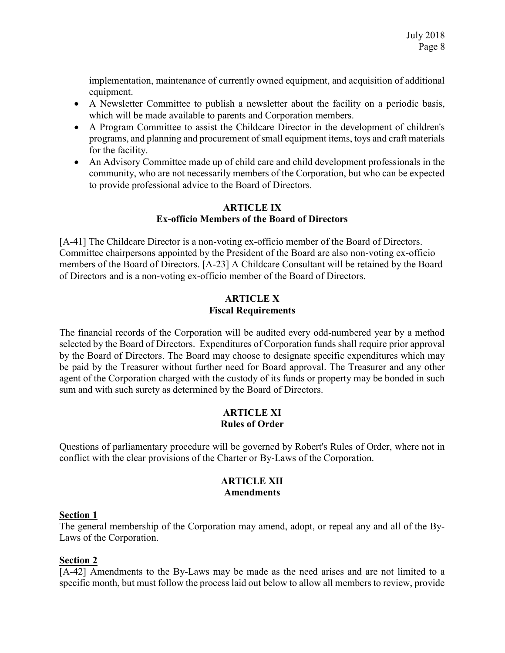implementation, maintenance of currently owned equipment, and acquisition of additional equipment.

- A Newsletter Committee to publish a newsletter about the facility on a periodic basis, which will be made available to parents and Corporation members.
- A Program Committee to assist the Childcare Director in the development of children's programs, and planning and procurement of small equipment items, toys and craft materials for the facility.
- An Advisory Committee made up of child care and child development professionals in the community, who are not necessarily members of the Corporation, but who can be expected to provide professional advice to the Board of Directors.

### ARTICLE IX Ex-officio Members of the Board of Directors

[A-41] The Childcare Director is a non-voting ex-officio member of the Board of Directors. Committee chairpersons appointed by the President of the Board are also non-voting ex-officio members of the Board of Directors. [A-23] A Childcare Consultant will be retained by the Board of Directors and is a non-voting ex-officio member of the Board of Directors.

# ARTICLE X Fiscal Requirements

The financial records of the Corporation will be audited every odd-numbered year by a method selected by the Board of Directors. Expenditures of Corporation funds shall require prior approval by the Board of Directors. The Board may choose to designate specific expenditures which may be paid by the Treasurer without further need for Board approval. The Treasurer and any other agent of the Corporation charged with the custody of its funds or property may be bonded in such sum and with such surety as determined by the Board of Directors.

## ARTICLE XI Rules of Order

Questions of parliamentary procedure will be governed by Robert's Rules of Order, where not in conflict with the clear provisions of the Charter or By-Laws of the Corporation.

### ARTICLE XII Amendments

## Section 1

The general membership of the Corporation may amend, adopt, or repeal any and all of the By-Laws of the Corporation.

## Section 2

[A-42] Amendments to the By-Laws may be made as the need arises and are not limited to a specific month, but must follow the process laid out below to allow all members to review, provide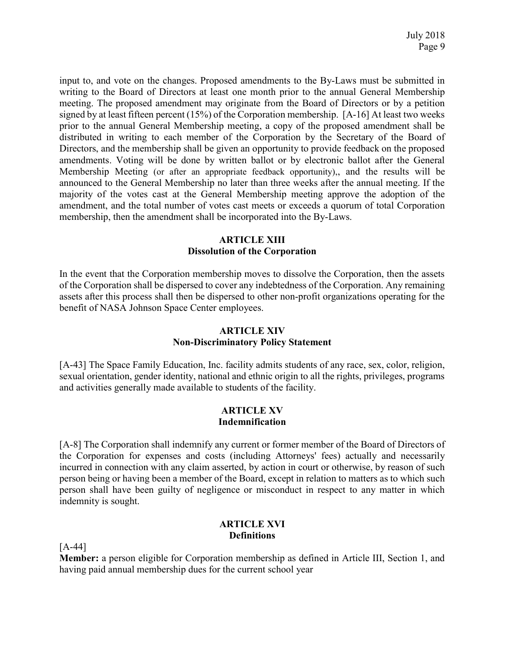input to, and vote on the changes. Proposed amendments to the By-Laws must be submitted in writing to the Board of Directors at least one month prior to the annual General Membership meeting. The proposed amendment may originate from the Board of Directors or by a petition signed by at least fifteen percent (15%) of the Corporation membership. [A-16] At least two weeks prior to the annual General Membership meeting, a copy of the proposed amendment shall be distributed in writing to each member of the Corporation by the Secretary of the Board of Directors, and the membership shall be given an opportunity to provide feedback on the proposed amendments. Voting will be done by written ballot or by electronic ballot after the General Membership Meeting (or after an appropriate feedback opportunity),, and the results will be announced to the General Membership no later than three weeks after the annual meeting. If the majority of the votes cast at the General Membership meeting approve the adoption of the amendment, and the total number of votes cast meets or exceeds a quorum of total Corporation membership, then the amendment shall be incorporated into the By-Laws.

### ARTICLE XIII Dissolution of the Corporation

In the event that the Corporation membership moves to dissolve the Corporation, then the assets of the Corporation shall be dispersed to cover any indebtedness of the Corporation. Any remaining assets after this process shall then be dispersed to other non-profit organizations operating for the benefit of NASA Johnson Space Center employees.

### ARTICLE XIV Non-Discriminatory Policy Statement

[A-43] The Space Family Education, Inc. facility admits students of any race, sex, color, religion, sexual orientation, gender identity, national and ethnic origin to all the rights, privileges, programs and activities generally made available to students of the facility.

### ARTICLE XV Indemnification

[A-8] The Corporation shall indemnify any current or former member of the Board of Directors of the Corporation for expenses and costs (including Attorneys' fees) actually and necessarily incurred in connection with any claim asserted, by action in court or otherwise, by reason of such person being or having been a member of the Board, except in relation to matters as to which such person shall have been guilty of negligence or misconduct in respect to any matter in which indemnity is sought.

### ARTICLE XVI **Definitions**

[A-44]

Member: a person eligible for Corporation membership as defined in Article III, Section 1, and having paid annual membership dues for the current school year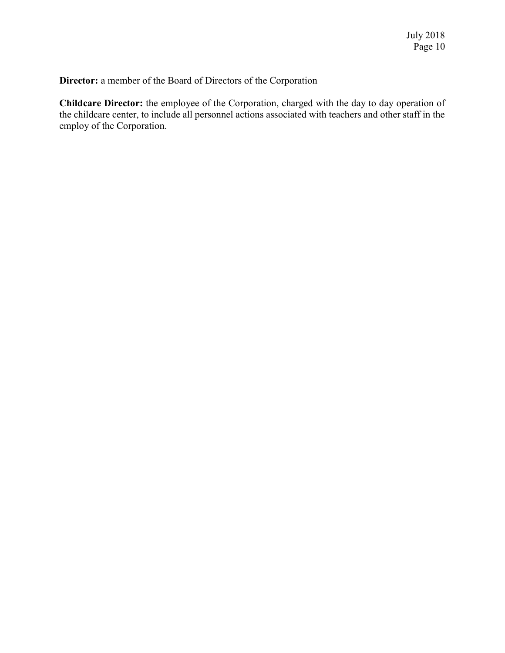Director: a member of the Board of Directors of the Corporation

Childcare Director: the employee of the Corporation, charged with the day to day operation of the childcare center, to include all personnel actions associated with teachers and other staff in the employ of the Corporation.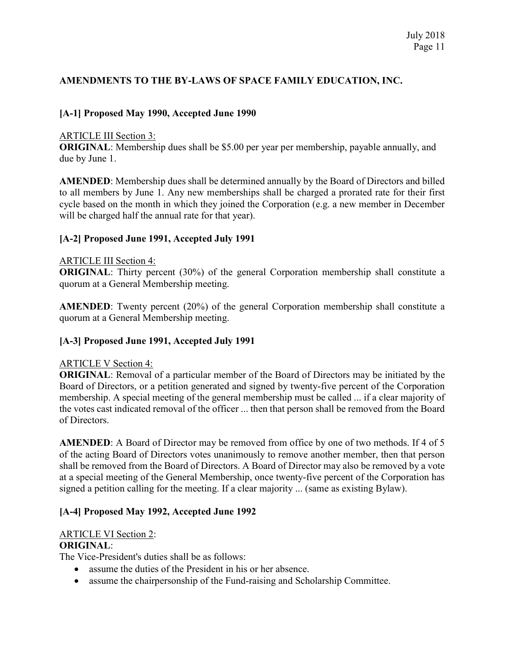## AMENDMENTS TO THE BY-LAWS OF SPACE FAMILY EDUCATION, INC.

## [A-1] Proposed May 1990, Accepted June 1990

### ARTICLE III Section 3:

ORIGINAL: Membership dues shall be \$5.00 per year per membership, payable annually, and due by June 1.

AMENDED: Membership dues shall be determined annually by the Board of Directors and billed to all members by June 1. Any new memberships shall be charged a prorated rate for their first cycle based on the month in which they joined the Corporation (e.g. a new member in December will be charged half the annual rate for that year).

### [A-2] Proposed June 1991, Accepted July 1991

### ARTICLE III Section 4:

ORIGINAL: Thirty percent (30%) of the general Corporation membership shall constitute a quorum at a General Membership meeting.

AMENDED: Twenty percent (20%) of the general Corporation membership shall constitute a quorum at a General Membership meeting.

### [A-3] Proposed June 1991, Accepted July 1991

### ARTICLE V Section 4:

ORIGINAL: Removal of a particular member of the Board of Directors may be initiated by the Board of Directors, or a petition generated and signed by twenty-five percent of the Corporation membership. A special meeting of the general membership must be called ... if a clear majority of the votes cast indicated removal of the officer ... then that person shall be removed from the Board of Directors.

AMENDED: A Board of Director may be removed from office by one of two methods. If 4 of 5 of the acting Board of Directors votes unanimously to remove another member, then that person shall be removed from the Board of Directors. A Board of Director may also be removed by a vote at a special meeting of the General Membership, once twenty-five percent of the Corporation has signed a petition calling for the meeting. If a clear majority ... (same as existing Bylaw).

## [A-4] Proposed May 1992, Accepted June 1992

### ARTICLE VI Section 2:

## ORIGINAL:

The Vice-President's duties shall be as follows:

- assume the duties of the President in his or her absence.
- assume the chairpersonship of the Fund-raising and Scholarship Committee.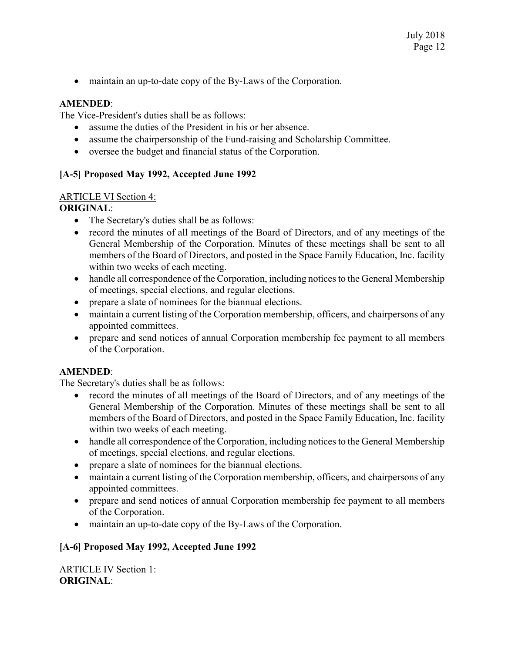maintain an up-to-date copy of the By-Laws of the Corporation.

## AMENDED:

The Vice-President's duties shall be as follows:

- assume the duties of the President in his or her absence.
- assume the chairpersonship of the Fund-raising and Scholarship Committee.
- oversee the budget and financial status of the Corporation.

# [A-5] Proposed May 1992, Accepted June 1992

# ARTICLE VI Section 4:

ORIGINAL:

- The Secretary's duties shall be as follows:
- record the minutes of all meetings of the Board of Directors, and of any meetings of the General Membership of the Corporation. Minutes of these meetings shall be sent to all members of the Board of Directors, and posted in the Space Family Education, Inc. facility within two weeks of each meeting.
- handle all correspondence of the Corporation, including notices to the General Membership of meetings, special elections, and regular elections.
- prepare a slate of nominees for the biannual elections.
- maintain a current listing of the Corporation membership, officers, and chairpersons of any appointed committees.
- prepare and send notices of annual Corporation membership fee payment to all members of the Corporation.

## AMENDED:

The Secretary's duties shall be as follows:

- record the minutes of all meetings of the Board of Directors, and of any meetings of the General Membership of the Corporation. Minutes of these meetings shall be sent to all members of the Board of Directors, and posted in the Space Family Education, Inc. facility within two weeks of each meeting.
- handle all correspondence of the Corporation, including notices to the General Membership of meetings, special elections, and regular elections.
- prepare a slate of nominees for the biannual elections.
- maintain a current listing of the Corporation membership, officers, and chairpersons of any appointed committees.
- prepare and send notices of annual Corporation membership fee payment to all members of the Corporation.
- maintain an up-to-date copy of the By-Laws of the Corporation.

# [A-6] Proposed May 1992, Accepted June 1992

ARTICLE IV Section 1: ORIGINAL: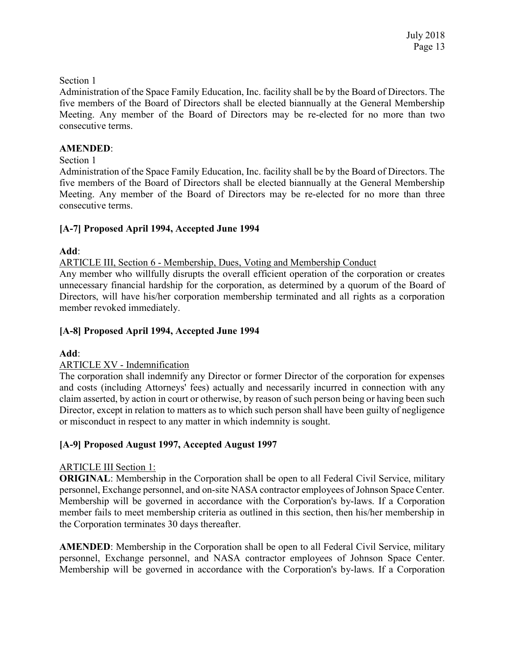Section 1

Administration of the Space Family Education, Inc. facility shall be by the Board of Directors. The five members of the Board of Directors shall be elected biannually at the General Membership Meeting. Any member of the Board of Directors may be re-elected for no more than two consecutive terms.

### AMENDED:

### Section 1

Administration of the Space Family Education, Inc. facility shall be by the Board of Directors. The five members of the Board of Directors shall be elected biannually at the General Membership Meeting. Any member of the Board of Directors may be re-elected for no more than three consecutive terms.

## [A-7] Proposed April 1994, Accepted June 1994

## Add:

ARTICLE III, Section 6 - Membership, Dues, Voting and Membership Conduct

Any member who willfully disrupts the overall efficient operation of the corporation or creates unnecessary financial hardship for the corporation, as determined by a quorum of the Board of Directors, will have his/her corporation membership terminated and all rights as a corporation member revoked immediately.

## [A-8] Proposed April 1994, Accepted June 1994

## Add:

## ARTICLE XV - Indemnification

The corporation shall indemnify any Director or former Director of the corporation for expenses and costs (including Attorneys' fees) actually and necessarily incurred in connection with any claim asserted, by action in court or otherwise, by reason of such person being or having been such Director, except in relation to matters as to which such person shall have been guilty of negligence or misconduct in respect to any matter in which indemnity is sought.

## [A-9] Proposed August 1997, Accepted August 1997

## ARTICLE III Section 1:

ORIGINAL: Membership in the Corporation shall be open to all Federal Civil Service, military personnel, Exchange personnel, and on-site NASA contractor employees of Johnson Space Center. Membership will be governed in accordance with the Corporation's by-laws. If a Corporation member fails to meet membership criteria as outlined in this section, then his/her membership in the Corporation terminates 30 days thereafter.

AMENDED: Membership in the Corporation shall be open to all Federal Civil Service, military personnel, Exchange personnel, and NASA contractor employees of Johnson Space Center. Membership will be governed in accordance with the Corporation's by-laws. If a Corporation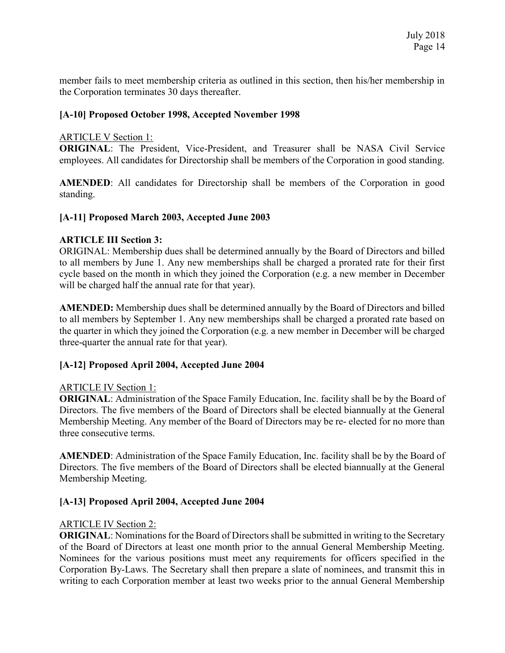member fails to meet membership criteria as outlined in this section, then his/her membership in the Corporation terminates 30 days thereafter.

### [A-10] Proposed October 1998, Accepted November 1998

ARTICLE V Section 1:

ORIGINAL: The President, Vice-President, and Treasurer shall be NASA Civil Service employees. All candidates for Directorship shall be members of the Corporation in good standing.

AMENDED: All candidates for Directorship shall be members of the Corporation in good standing.

### [A-11] Proposed March 2003, Accepted June 2003

### ARTICLE III Section 3:

ORIGINAL: Membership dues shall be determined annually by the Board of Directors and billed to all members by June 1. Any new memberships shall be charged a prorated rate for their first cycle based on the month in which they joined the Corporation (e.g. a new member in December will be charged half the annual rate for that year).

AMENDED: Membership dues shall be determined annually by the Board of Directors and billed to all members by September 1. Any new memberships shall be charged a prorated rate based on the quarter in which they joined the Corporation (e.g. a new member in December will be charged three-quarter the annual rate for that year).

## [A-12] Proposed April 2004, Accepted June 2004

### ARTICLE IV Section 1:

ORIGINAL: Administration of the Space Family Education, Inc. facility shall be by the Board of Directors. The five members of the Board of Directors shall be elected biannually at the General Membership Meeting. Any member of the Board of Directors may be re- elected for no more than three consecutive terms.

AMENDED: Administration of the Space Family Education, Inc. facility shall be by the Board of Directors. The five members of the Board of Directors shall be elected biannually at the General Membership Meeting.

## [A-13] Proposed April 2004, Accepted June 2004

### ARTICLE IV Section 2:

ORIGINAL: Nominations for the Board of Directors shall be submitted in writing to the Secretary of the Board of Directors at least one month prior to the annual General Membership Meeting. Nominees for the various positions must meet any requirements for officers specified in the Corporation By-Laws. The Secretary shall then prepare a slate of nominees, and transmit this in writing to each Corporation member at least two weeks prior to the annual General Membership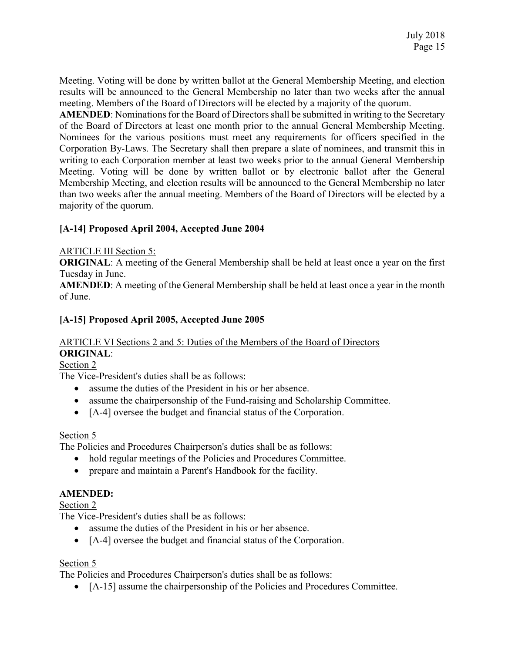Meeting. Voting will be done by written ballot at the General Membership Meeting, and election results will be announced to the General Membership no later than two weeks after the annual meeting. Members of the Board of Directors will be elected by a majority of the quorum.

AMENDED: Nominations for the Board of Directors shall be submitted in writing to the Secretary of the Board of Directors at least one month prior to the annual General Membership Meeting. Nominees for the various positions must meet any requirements for officers specified in the Corporation By-Laws. The Secretary shall then prepare a slate of nominees, and transmit this in writing to each Corporation member at least two weeks prior to the annual General Membership Meeting. Voting will be done by written ballot or by electronic ballot after the General Membership Meeting, and election results will be announced to the General Membership no later than two weeks after the annual meeting. Members of the Board of Directors will be elected by a majority of the quorum.

# [A-14] Proposed April 2004, Accepted June 2004

ARTICLE III Section 5:

ORIGINAL: A meeting of the General Membership shall be held at least once a year on the first Tuesday in June.

AMENDED: A meeting of the General Membership shall be held at least once a year in the month of June.

# [A-15] Proposed April 2005, Accepted June 2005

# ARTICLE VI Sections 2 and 5: Duties of the Members of the Board of Directors ORIGINAL:

Section 2

The Vice-President's duties shall be as follows:

- assume the duties of the President in his or her absence.
- assume the chairpersonship of the Fund-raising and Scholarship Committee.
- [A-4] oversee the budget and financial status of the Corporation.

## Section 5

The Policies and Procedures Chairperson's duties shall be as follows:

- hold regular meetings of the Policies and Procedures Committee.
- prepare and maintain a Parent's Handbook for the facility.

## AMENDED:

Section 2

The Vice-President's duties shall be as follows:

- assume the duties of the President in his or her absence.
- [A-4] oversee the budget and financial status of the Corporation.

### Section 5

The Policies and Procedures Chairperson's duties shall be as follows:

[A-15] assume the chairpersonship of the Policies and Procedures Committee.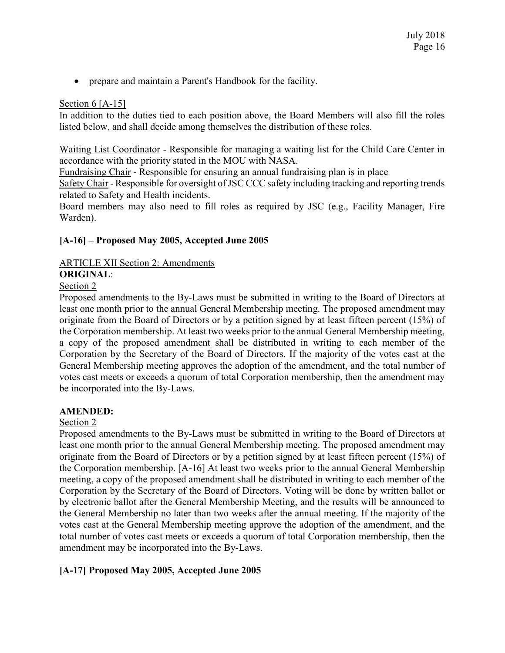prepare and maintain a Parent's Handbook for the facility.

### Section 6 [A-15]

In addition to the duties tied to each position above, the Board Members will also fill the roles listed below, and shall decide among themselves the distribution of these roles.

Waiting List Coordinator - Responsible for managing a waiting list for the Child Care Center in accordance with the priority stated in the MOU with NASA.

Fundraising Chair - Responsible for ensuring an annual fundraising plan is in place

Safety Chair - Responsible for oversight of JSC CCC safety including tracking and reporting trends related to Safety and Health incidents.

Board members may also need to fill roles as required by JSC (e.g., Facility Manager, Fire Warden).

# [A-16] – Proposed May 2005, Accepted June 2005

### ARTICLE XII Section 2: Amendments

### ORIGINAL:

### Section 2

Proposed amendments to the By-Laws must be submitted in writing to the Board of Directors at least one month prior to the annual General Membership meeting. The proposed amendment may originate from the Board of Directors or by a petition signed by at least fifteen percent (15%) of the Corporation membership. At least two weeks prior to the annual General Membership meeting, a copy of the proposed amendment shall be distributed in writing to each member of the Corporation by the Secretary of the Board of Directors. If the majority of the votes cast at the General Membership meeting approves the adoption of the amendment, and the total number of votes cast meets or exceeds a quorum of total Corporation membership, then the amendment may be incorporated into the By-Laws.

### AMENDED:

### Section 2

Proposed amendments to the By-Laws must be submitted in writing to the Board of Directors at least one month prior to the annual General Membership meeting. The proposed amendment may originate from the Board of Directors or by a petition signed by at least fifteen percent (15%) of the Corporation membership. [A-16] At least two weeks prior to the annual General Membership meeting, a copy of the proposed amendment shall be distributed in writing to each member of the Corporation by the Secretary of the Board of Directors. Voting will be done by written ballot or by electronic ballot after the General Membership Meeting, and the results will be announced to the General Membership no later than two weeks after the annual meeting. If the majority of the votes cast at the General Membership meeting approve the adoption of the amendment, and the total number of votes cast meets or exceeds a quorum of total Corporation membership, then the amendment may be incorporated into the By-Laws.

## [A-17] Proposed May 2005, Accepted June 2005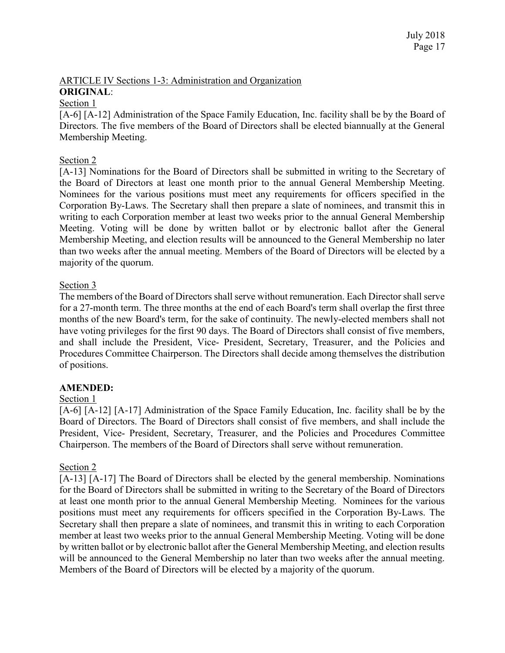## ARTICLE IV Sections 1-3: Administration and Organization

# ORIGINAL:

### Section 1

[A-6] [A-12] Administration of the Space Family Education, Inc. facility shall be by the Board of Directors. The five members of the Board of Directors shall be elected biannually at the General Membership Meeting.

### Section 2

[A-13] Nominations for the Board of Directors shall be submitted in writing to the Secretary of the Board of Directors at least one month prior to the annual General Membership Meeting. Nominees for the various positions must meet any requirements for officers specified in the Corporation By-Laws. The Secretary shall then prepare a slate of nominees, and transmit this in writing to each Corporation member at least two weeks prior to the annual General Membership Meeting. Voting will be done by written ballot or by electronic ballot after the General Membership Meeting, and election results will be announced to the General Membership no later than two weeks after the annual meeting. Members of the Board of Directors will be elected by a majority of the quorum.

### Section 3

The members of the Board of Directors shall serve without remuneration. Each Director shall serve for a 27-month term. The three months at the end of each Board's term shall overlap the first three months of the new Board's term, for the sake of continuity. The newly-elected members shall not have voting privileges for the first 90 days. The Board of Directors shall consist of five members, and shall include the President, Vice- President, Secretary, Treasurer, and the Policies and Procedures Committee Chairperson. The Directors shall decide among themselves the distribution of positions.

### AMENDED:

### Section 1

[A-6] [A-12] [A-17] Administration of the Space Family Education, Inc. facility shall be by the Board of Directors. The Board of Directors shall consist of five members, and shall include the President, Vice- President, Secretary, Treasurer, and the Policies and Procedures Committee Chairperson. The members of the Board of Directors shall serve without remuneration.

### Section 2

[A-13] [A-17] The Board of Directors shall be elected by the general membership. Nominations for the Board of Directors shall be submitted in writing to the Secretary of the Board of Directors at least one month prior to the annual General Membership Meeting. Nominees for the various positions must meet any requirements for officers specified in the Corporation By-Laws. The Secretary shall then prepare a slate of nominees, and transmit this in writing to each Corporation member at least two weeks prior to the annual General Membership Meeting. Voting will be done by written ballot or by electronic ballot after the General Membership Meeting, and election results will be announced to the General Membership no later than two weeks after the annual meeting. Members of the Board of Directors will be elected by a majority of the quorum.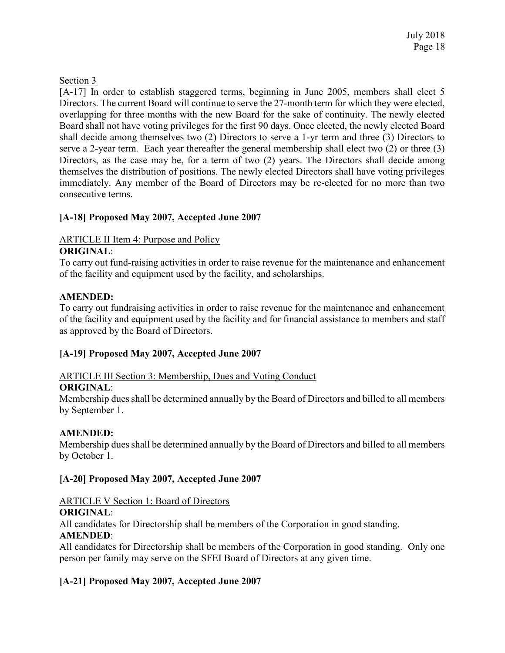## Section 3

[A-17] In order to establish staggered terms, beginning in June 2005, members shall elect 5 Directors. The current Board will continue to serve the 27-month term for which they were elected, overlapping for three months with the new Board for the sake of continuity. The newly elected Board shall not have voting privileges for the first 90 days. Once elected, the newly elected Board shall decide among themselves two (2) Directors to serve a 1-yr term and three (3) Directors to serve a 2-year term. Each year thereafter the general membership shall elect two (2) or three (3) Directors, as the case may be, for a term of two (2) years. The Directors shall decide among themselves the distribution of positions. The newly elected Directors shall have voting privileges immediately. Any member of the Board of Directors may be re-elected for no more than two consecutive terms.

# [A-18] Proposed May 2007, Accepted June 2007

#### ARTICLE II Item 4: Purpose and Policy ORIGINAL:

To carry out fund-raising activities in order to raise revenue for the maintenance and enhancement of the facility and equipment used by the facility, and scholarships.

## AMENDED:

To carry out fundraising activities in order to raise revenue for the maintenance and enhancement of the facility and equipment used by the facility and for financial assistance to members and staff as approved by the Board of Directors.

## [A-19] Proposed May 2007, Accepted June 2007

# ARTICLE III Section 3: Membership, Dues and Voting Conduct

## ORIGINAL:

Membership dues shall be determined annually by the Board of Directors and billed to all members by September 1.

## AMENDED:

Membership dues shall be determined annually by the Board of Directors and billed to all members by October 1.

## [A-20] Proposed May 2007, Accepted June 2007

#### ARTICLE V Section 1: Board of Directors ORIGINAL:

All candidates for Directorship shall be members of the Corporation in good standing. AMENDED:

All candidates for Directorship shall be members of the Corporation in good standing. Only one person per family may serve on the SFEI Board of Directors at any given time.

# [A-21] Proposed May 2007, Accepted June 2007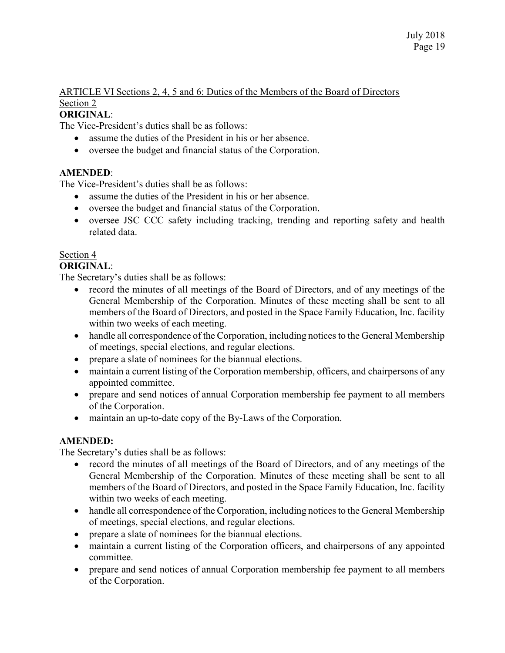## ARTICLE VI Sections 2, 4, 5 and 6: Duties of the Members of the Board of Directors Section 2

# ORIGINAL:

The Vice-President's duties shall be as follows:

- assume the duties of the President in his or her absence.
- oversee the budget and financial status of the Corporation.

# AMENDED:

The Vice-President's duties shall be as follows:

- assume the duties of the President in his or her absence.
- oversee the budget and financial status of the Corporation.
- oversee JSC CCC safety including tracking, trending and reporting safety and health related data.

# Section 4

# ORIGINAL:

The Secretary's duties shall be as follows:

- record the minutes of all meetings of the Board of Directors, and of any meetings of the General Membership of the Corporation. Minutes of these meeting shall be sent to all members of the Board of Directors, and posted in the Space Family Education, Inc. facility within two weeks of each meeting.
- handle all correspondence of the Corporation, including notices to the General Membership of meetings, special elections, and regular elections.
- prepare a slate of nominees for the biannual elections.
- maintain a current listing of the Corporation membership, officers, and chairpersons of any appointed committee.
- prepare and send notices of annual Corporation membership fee payment to all members of the Corporation.
- maintain an up-to-date copy of the By-Laws of the Corporation.

## AMENDED:

The Secretary's duties shall be as follows:

- record the minutes of all meetings of the Board of Directors, and of any meetings of the General Membership of the Corporation. Minutes of these meeting shall be sent to all members of the Board of Directors, and posted in the Space Family Education, Inc. facility within two weeks of each meeting.
- handle all correspondence of the Corporation, including notices to the General Membership of meetings, special elections, and regular elections.
- prepare a slate of nominees for the biannual elections.
- maintain a current listing of the Corporation officers, and chairpersons of any appointed committee.
- prepare and send notices of annual Corporation membership fee payment to all members of the Corporation.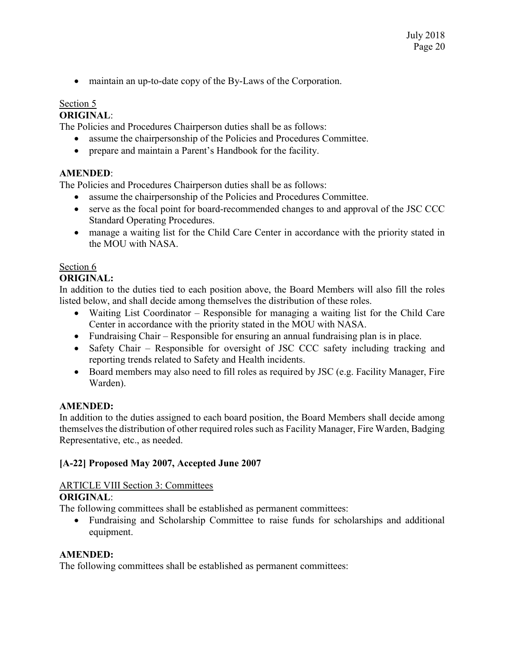maintain an up-to-date copy of the By-Laws of the Corporation.

# Section 5

## ORIGINAL:

The Policies and Procedures Chairperson duties shall be as follows:

- assume the chairpersonship of the Policies and Procedures Committee.
- prepare and maintain a Parent's Handbook for the facility.

# AMENDED:

The Policies and Procedures Chairperson duties shall be as follows:

- assume the chairpersonship of the Policies and Procedures Committee.
- serve as the focal point for board-recommended changes to and approval of the JSC CCC Standard Operating Procedures.
- manage a waiting list for the Child Care Center in accordance with the priority stated in the MOU with NASA.

# Section 6

# ORIGINAL:

In addition to the duties tied to each position above, the Board Members will also fill the roles listed below, and shall decide among themselves the distribution of these roles.

- Waiting List Coordinator Responsible for managing a waiting list for the Child Care Center in accordance with the priority stated in the MOU with NASA.
- Fundraising Chair Responsible for ensuring an annual fundraising plan is in place.
- Safety Chair Responsible for oversight of JSC CCC safety including tracking and reporting trends related to Safety and Health incidents.
- Board members may also need to fill roles as required by JSC (e.g. Facility Manager, Fire Warden).

## AMENDED:

In addition to the duties assigned to each board position, the Board Members shall decide among themselves the distribution of other required roles such as Facility Manager, Fire Warden, Badging Representative, etc., as needed.

# [A-22] Proposed May 2007, Accepted June 2007

# ARTICLE VIII Section 3: Committees

# ORIGINAL:

The following committees shall be established as permanent committees:

 Fundraising and Scholarship Committee to raise funds for scholarships and additional equipment.

## AMENDED:

The following committees shall be established as permanent committees: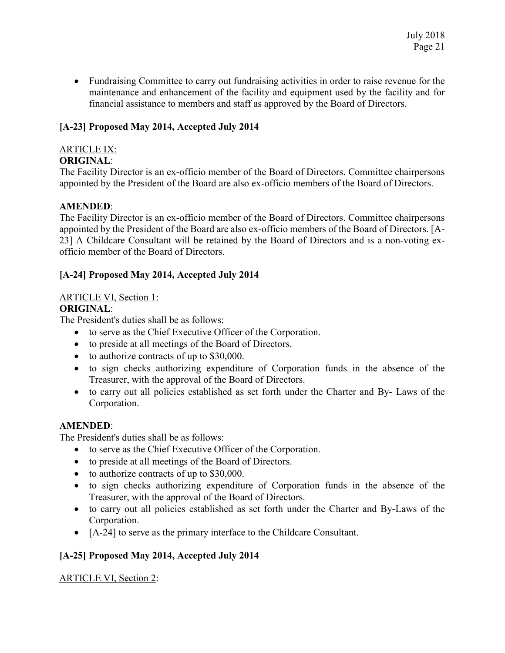• Fundraising Committee to carry out fundraising activities in order to raise revenue for the maintenance and enhancement of the facility and equipment used by the facility and for financial assistance to members and staff as approved by the Board of Directors.

# [A-23] Proposed May 2014, Accepted July 2014

# ARTICLE IX:

### ORIGINAL:

The Facility Director is an ex-officio member of the Board of Directors. Committee chairpersons appointed by the President of the Board are also ex-officio members of the Board of Directors.

### AMENDED:

The Facility Director is an ex-officio member of the Board of Directors. Committee chairpersons appointed by the President of the Board are also ex-officio members of the Board of Directors. [A-23] A Childcare Consultant will be retained by the Board of Directors and is a non-voting exofficio member of the Board of Directors.

## [A-24] Proposed May 2014, Accepted July 2014

# ARTICLE VI, Section 1:

### ORIGINAL:

The President's duties shall be as follows:

- to serve as the Chief Executive Officer of the Corporation.
- to preside at all meetings of the Board of Directors.
- to authorize contracts of up to \$30,000.
- to sign checks authorizing expenditure of Corporation funds in the absence of the Treasurer, with the approval of the Board of Directors.
- to carry out all policies established as set forth under the Charter and By- Laws of the Corporation.

### AMENDED:

The President's duties shall be as follows:

- to serve as the Chief Executive Officer of the Corporation.
- to preside at all meetings of the Board of Directors.
- to authorize contracts of up to \$30,000.
- to sign checks authorizing expenditure of Corporation funds in the absence of the Treasurer, with the approval of the Board of Directors.
- to carry out all policies established as set forth under the Charter and By-Laws of the Corporation.
- [A-24] to serve as the primary interface to the Childcare Consultant.

## [A-25] Proposed May 2014, Accepted July 2014

## ARTICLE VI, Section 2: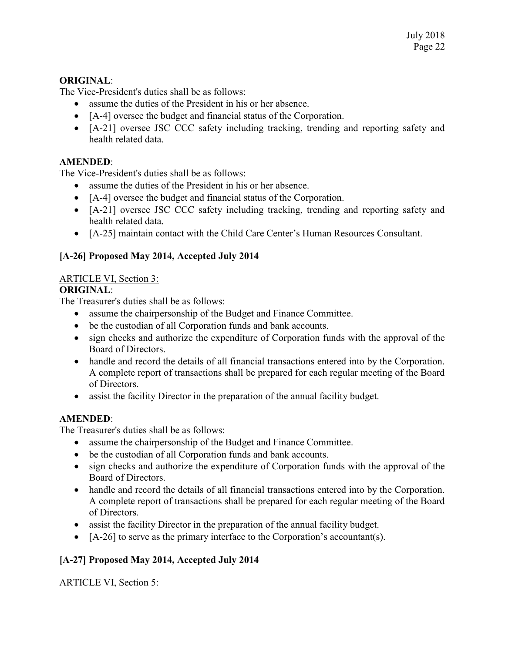### ORIGINAL:

The Vice-President's duties shall be as follows:

- assume the duties of the President in his or her absence.
- [A-4] oversee the budget and financial status of the Corporation.
- [A-21] oversee JSC CCC safety including tracking, trending and reporting safety and health related data.

### AMENDED:

The Vice-President's duties shall be as follows:

- assume the duties of the President in his or her absence.
- [A-4] oversee the budget and financial status of the Corporation.
- [A-21] oversee JSC CCC safety including tracking, trending and reporting safety and health related data.
- [A-25] maintain contact with the Child Care Center's Human Resources Consultant.

# [A-26] Proposed May 2014, Accepted July 2014

## ARTICLE VI, Section 3:

## ORIGINAL:

The Treasurer's duties shall be as follows:

- assume the chairpersonship of the Budget and Finance Committee.
- be the custodian of all Corporation funds and bank accounts.
- sign checks and authorize the expenditure of Corporation funds with the approval of the Board of Directors.
- handle and record the details of all financial transactions entered into by the Corporation. A complete report of transactions shall be prepared for each regular meeting of the Board of Directors.
- assist the facility Director in the preparation of the annual facility budget.

## AMENDED:

The Treasurer's duties shall be as follows:

- assume the chairpersonship of the Budget and Finance Committee.
- be the custodian of all Corporation funds and bank accounts.
- sign checks and authorize the expenditure of Corporation funds with the approval of the Board of Directors.
- handle and record the details of all financial transactions entered into by the Corporation. A complete report of transactions shall be prepared for each regular meeting of the Board of Directors.
- assist the facility Director in the preparation of the annual facility budget.
- $\bullet$  [A-26] to serve as the primary interface to the Corporation's accountant(s).

# [A-27] Proposed May 2014, Accepted July 2014

## ARTICLE VI, Section 5: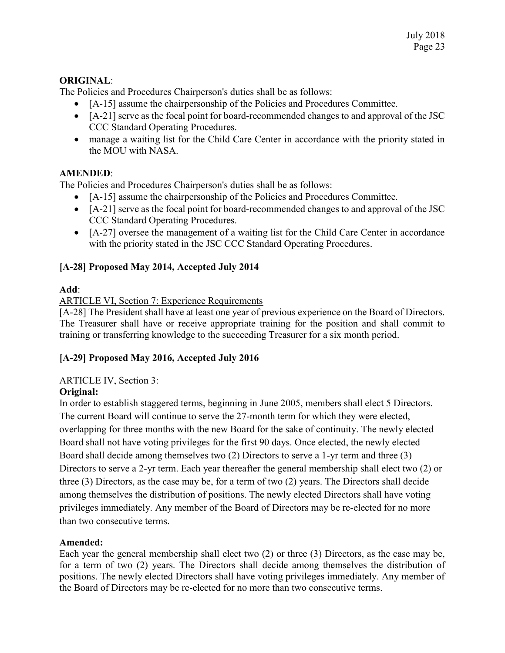## ORIGINAL:

The Policies and Procedures Chairperson's duties shall be as follows:

- [A-15] assume the chairpersonship of the Policies and Procedures Committee.
- [A-21] serve as the focal point for board-recommended changes to and approval of the JSC CCC Standard Operating Procedures.
- manage a waiting list for the Child Care Center in accordance with the priority stated in the MOU with NASA.

# AMENDED:

The Policies and Procedures Chairperson's duties shall be as follows:

- [A-15] assume the chairpersonship of the Policies and Procedures Committee.
- [A-21] serve as the focal point for board-recommended changes to and approval of the JSC CCC Standard Operating Procedures.
- [A-27] oversee the management of a waiting list for the Child Care Center in accordance with the priority stated in the JSC CCC Standard Operating Procedures.

# [A-28] Proposed May 2014, Accepted July 2014

## Add:

ARTICLE VI, Section 7: Experience Requirements

[A-28] The President shall have at least one year of previous experience on the Board of Directors. The Treasurer shall have or receive appropriate training for the position and shall commit to training or transferring knowledge to the succeeding Treasurer for a six month period.

# [A-29] Proposed May 2016, Accepted July 2016

## ARTICLE IV, Section 3:

## Original:

In order to establish staggered terms, beginning in June 2005, members shall elect 5 Directors. The current Board will continue to serve the 27-month term for which they were elected, overlapping for three months with the new Board for the sake of continuity. The newly elected Board shall not have voting privileges for the first 90 days. Once elected, the newly elected Board shall decide among themselves two (2) Directors to serve a 1-yr term and three (3) Directors to serve a 2-yr term. Each year thereafter the general membership shall elect two (2) or three (3) Directors, as the case may be, for a term of two (2) years. The Directors shall decide among themselves the distribution of positions. The newly elected Directors shall have voting privileges immediately. Any member of the Board of Directors may be re-elected for no more than two consecutive terms.

## Amended:

Each year the general membership shall elect two (2) or three (3) Directors, as the case may be, for a term of two (2) years. The Directors shall decide among themselves the distribution of positions. The newly elected Directors shall have voting privileges immediately. Any member of the Board of Directors may be re-elected for no more than two consecutive terms.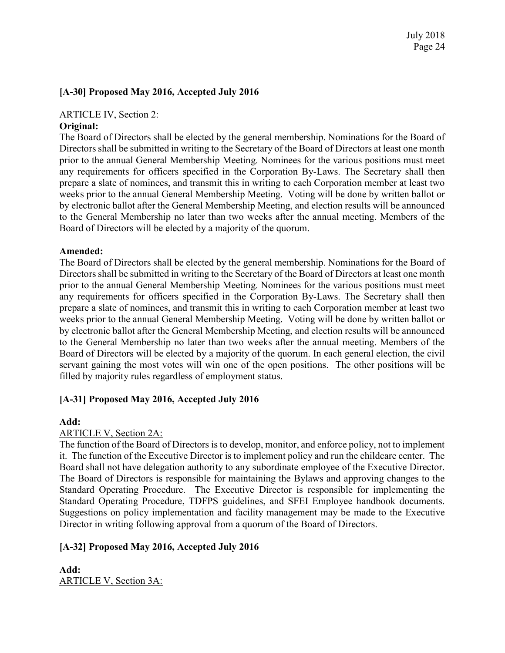### [A-30] Proposed May 2016, Accepted July 2016

### ARTICLE IV, Section 2:

### Original:

The Board of Directors shall be elected by the general membership. Nominations for the Board of Directors shall be submitted in writing to the Secretary of the Board of Directors at least one month prior to the annual General Membership Meeting. Nominees for the various positions must meet any requirements for officers specified in the Corporation By-Laws. The Secretary shall then prepare a slate of nominees, and transmit this in writing to each Corporation member at least two weeks prior to the annual General Membership Meeting. Voting will be done by written ballot or by electronic ballot after the General Membership Meeting, and election results will be announced to the General Membership no later than two weeks after the annual meeting. Members of the Board of Directors will be elected by a majority of the quorum.

### Amended:

The Board of Directors shall be elected by the general membership. Nominations for the Board of Directors shall be submitted in writing to the Secretary of the Board of Directors at least one month prior to the annual General Membership Meeting. Nominees for the various positions must meet any requirements for officers specified in the Corporation By-Laws. The Secretary shall then prepare a slate of nominees, and transmit this in writing to each Corporation member at least two weeks prior to the annual General Membership Meeting. Voting will be done by written ballot or by electronic ballot after the General Membership Meeting, and election results will be announced to the General Membership no later than two weeks after the annual meeting. Members of the Board of Directors will be elected by a majority of the quorum. In each general election, the civil servant gaining the most votes will win one of the open positions. The other positions will be filled by majority rules regardless of employment status.

### [A-31] Proposed May 2016, Accepted July 2016

### Add:

### ARTICLE V, Section 2A:

The function of the Board of Directors is to develop, monitor, and enforce policy, not to implement it. The function of the Executive Director is to implement policy and run the childcare center. The Board shall not have delegation authority to any subordinate employee of the Executive Director. The Board of Directors is responsible for maintaining the Bylaws and approving changes to the Standard Operating Procedure. The Executive Director is responsible for implementing the Standard Operating Procedure, TDFPS guidelines, and SFEI Employee handbook documents. Suggestions on policy implementation and facility management may be made to the Executive Director in writing following approval from a quorum of the Board of Directors.

## [A-32] Proposed May 2016, Accepted July 2016

Add: ARTICLE V, Section 3A: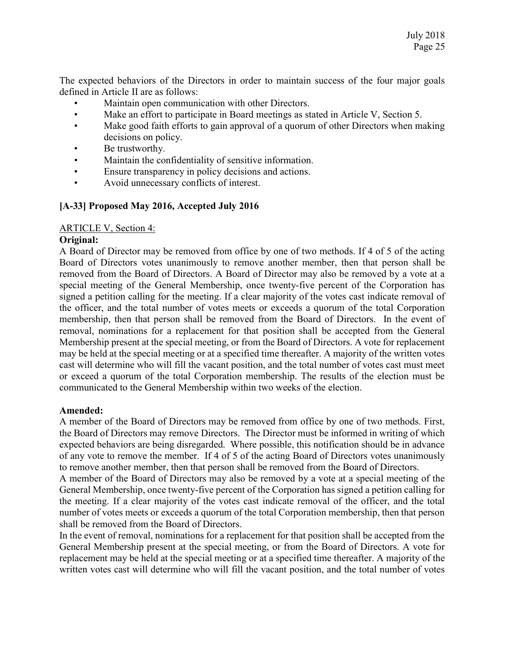The expected behaviors of the Directors in order to maintain success of the four major goals defined in Article II are as follows:

- Maintain open communication with other Directors.
- Make an effort to participate in Board meetings as stated in Article V, Section 5.
- Make good faith efforts to gain approval of a quorum of other Directors when making decisions on policy.
- Be trustworthy.
- Maintain the confidentiality of sensitive information.
- Ensure transparency in policy decisions and actions.
- Avoid unnecessary conflicts of interest.

## [A-33] Proposed May 2016, Accepted July 2016

### ARTICLE V, Section 4:

### Original:

A Board of Director may be removed from office by one of two methods. If 4 of 5 of the acting Board of Directors votes unanimously to remove another member, then that person shall be removed from the Board of Directors. A Board of Director may also be removed by a vote at a special meeting of the General Membership, once twenty-five percent of the Corporation has signed a petition calling for the meeting. If a clear majority of the votes cast indicate removal of the officer, and the total number of votes meets or exceeds a quorum of the total Corporation membership, then that person shall be removed from the Board of Directors. In the event of removal, nominations for a replacement for that position shall be accepted from the General Membership present at the special meeting, or from the Board of Directors. A vote for replacement may be held at the special meeting or at a specified time thereafter. A majority of the written votes cast will determine who will fill the vacant position, and the total number of votes cast must meet or exceed a quorum of the total Corporation membership. The results of the election must be communicated to the General Membership within two weeks of the election.

#### Amended:

A member of the Board of Directors may be removed from office by one of two methods. First, the Board of Directors may remove Directors. The Director must be informed in writing of which expected behaviors are being disregarded. Where possible, this notification should be in advance of any vote to remove the member. If 4 of 5 of the acting Board of Directors votes unanimously to remove another member, then that person shall be removed from the Board of Directors.

A member of the Board of Directors may also be removed by a vote at a special meeting of the General Membership, once twenty-five percent of the Corporation has signed a petition calling for the meeting. If a clear majority of the votes cast indicate removal of the officer, and the total number of votes meets or exceeds a quorum of the total Corporation membership, then that person shall be removed from the Board of Directors.

In the event of removal, nominations for a replacement for that position shall be accepted from the General Membership present at the special meeting, or from the Board of Directors. A vote for replacement may be held at the special meeting or at a specified time thereafter. A majority of the written votes cast will determine who will fill the vacant position, and the total number of votes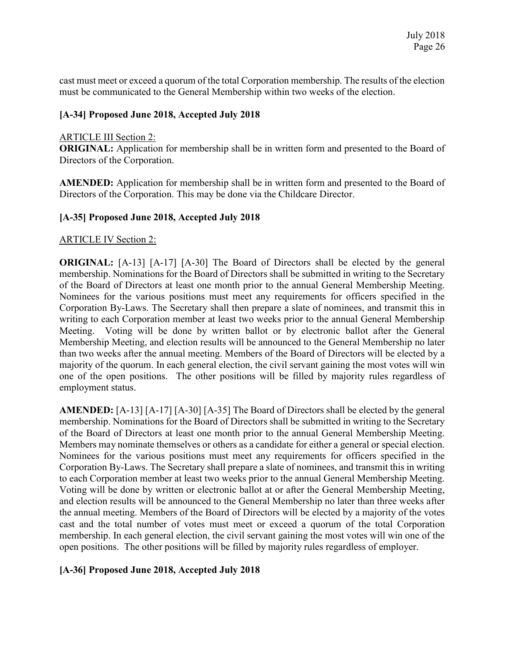cast must meet or exceed a quorum of the total Corporation membership. The results of the election must be communicated to the General Membership within two weeks of the election.

### [A-34] Proposed June 2018, Accepted July 2018

### ARTICLE III Section 2:

ORIGINAL: Application for membership shall be in written form and presented to the Board of Directors of the Corporation.

AMENDED: Application for membership shall be in written form and presented to the Board of Directors of the Corporation. This may be done via the Childcare Director.

### [A-35] Proposed June 2018, Accepted July 2018

### ARTICLE IV Section 2:

ORIGINAL: [A-13] [A-17] [A-30] The Board of Directors shall be elected by the general membership. Nominations for the Board of Directors shall be submitted in writing to the Secretary of the Board of Directors at least one month prior to the annual General Membership Meeting. Nominees for the various positions must meet any requirements for officers specified in the Corporation By-Laws. The Secretary shall then prepare a slate of nominees, and transmit this in writing to each Corporation member at least two weeks prior to the annual General Membership Meeting. Voting will be done by written ballot or by electronic ballot after the General Membership Meeting, and election results will be announced to the General Membership no later than two weeks after the annual meeting. Members of the Board of Directors will be elected by a majority of the quorum. In each general election, the civil servant gaining the most votes will win one of the open positions. The other positions will be filled by majority rules regardless of employment status.

AMENDED: [A-13] [A-17] [A-30] [A-35] The Board of Directors shall be elected by the general membership. Nominations for the Board of Directors shall be submitted in writing to the Secretary of the Board of Directors at least one month prior to the annual General Membership Meeting. Members may nominate themselves or others as a candidate for either a general or special election. Nominees for the various positions must meet any requirements for officers specified in the Corporation By-Laws. The Secretary shall prepare a slate of nominees, and transmit this in writing to each Corporation member at least two weeks prior to the annual General Membership Meeting. Voting will be done by written or electronic ballot at or after the General Membership Meeting, and election results will be announced to the General Membership no later than three weeks after the annual meeting. Members of the Board of Directors will be elected by a majority of the votes cast and the total number of votes must meet or exceed a quorum of the total Corporation membership. In each general election, the civil servant gaining the most votes will win one of the open positions. The other positions will be filled by majority rules regardless of employer.

## [A-36] Proposed June 2018, Accepted July 2018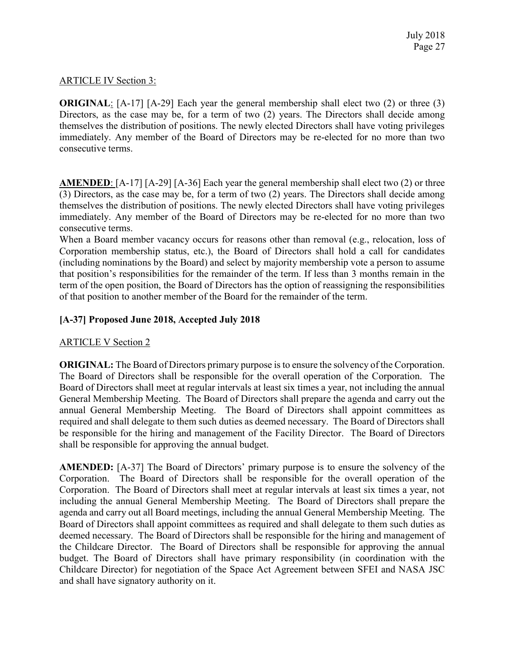## ARTICLE IV Section 3:

ORIGINAL: [A-17] [A-29] Each year the general membership shall elect two (2) or three (3) Directors, as the case may be, for a term of two (2) years. The Directors shall decide among themselves the distribution of positions. The newly elected Directors shall have voting privileges immediately. Any member of the Board of Directors may be re-elected for no more than two consecutive terms.

AMENDED: [A-17] [A-29] [A-36] Each year the general membership shall elect two (2) or three (3) Directors, as the case may be, for a term of two (2) years. The Directors shall decide among themselves the distribution of positions. The newly elected Directors shall have voting privileges immediately. Any member of the Board of Directors may be re-elected for no more than two consecutive terms.

When a Board member vacancy occurs for reasons other than removal (e.g., relocation, loss of Corporation membership status, etc.), the Board of Directors shall hold a call for candidates (including nominations by the Board) and select by majority membership vote a person to assume that position's responsibilities for the remainder of the term. If less than 3 months remain in the term of the open position, the Board of Directors has the option of reassigning the responsibilities of that position to another member of the Board for the remainder of the term.

## [A-37] Proposed June 2018, Accepted July 2018

### ARTICLE V Section 2

ORIGINAL: The Board of Directors primary purpose is to ensure the solvency of the Corporation. The Board of Directors shall be responsible for the overall operation of the Corporation. The Board of Directors shall meet at regular intervals at least six times a year, not including the annual General Membership Meeting. The Board of Directors shall prepare the agenda and carry out the annual General Membership Meeting. The Board of Directors shall appoint committees as required and shall delegate to them such duties as deemed necessary. The Board of Directors shall be responsible for the hiring and management of the Facility Director. The Board of Directors shall be responsible for approving the annual budget.

AMENDED: [A-37] The Board of Directors' primary purpose is to ensure the solvency of the Corporation. The Board of Directors shall be responsible for the overall operation of the Corporation. The Board of Directors shall meet at regular intervals at least six times a year, not including the annual General Membership Meeting. The Board of Directors shall prepare the agenda and carry out all Board meetings, including the annual General Membership Meeting. The Board of Directors shall appoint committees as required and shall delegate to them such duties as deemed necessary. The Board of Directors shall be responsible for the hiring and management of the Childcare Director. The Board of Directors shall be responsible for approving the annual budget. The Board of Directors shall have primary responsibility (in coordination with the Childcare Director) for negotiation of the Space Act Agreement between SFEI and NASA JSC and shall have signatory authority on it.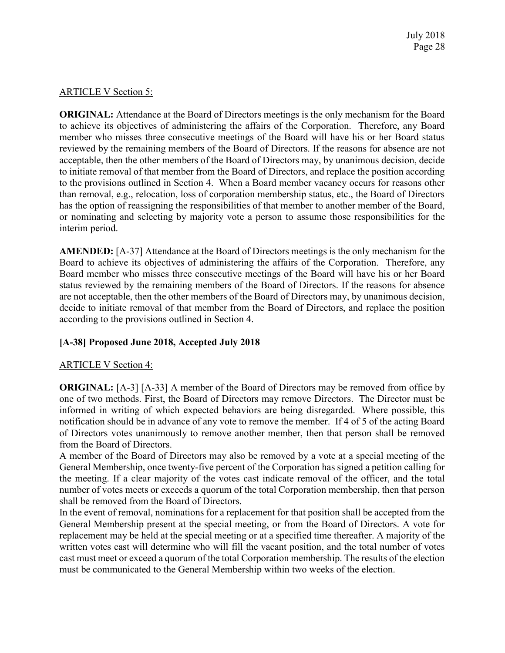### ARTICLE V Section 5:

ORIGINAL: Attendance at the Board of Directors meetings is the only mechanism for the Board to achieve its objectives of administering the affairs of the Corporation. Therefore, any Board member who misses three consecutive meetings of the Board will have his or her Board status reviewed by the remaining members of the Board of Directors. If the reasons for absence are not acceptable, then the other members of the Board of Directors may, by unanimous decision, decide to initiate removal of that member from the Board of Directors, and replace the position according to the provisions outlined in Section 4. When a Board member vacancy occurs for reasons other than removal, e.g., relocation, loss of corporation membership status, etc., the Board of Directors has the option of reassigning the responsibilities of that member to another member of the Board, or nominating and selecting by majority vote a person to assume those responsibilities for the interim period.

AMENDED: [A-37] Attendance at the Board of Directors meetings is the only mechanism for the Board to achieve its objectives of administering the affairs of the Corporation. Therefore, any Board member who misses three consecutive meetings of the Board will have his or her Board status reviewed by the remaining members of the Board of Directors. If the reasons for absence are not acceptable, then the other members of the Board of Directors may, by unanimous decision, decide to initiate removal of that member from the Board of Directors, and replace the position according to the provisions outlined in Section 4.

# [A-38] Proposed June 2018, Accepted July 2018

## ARTICLE V Section 4:

ORIGINAL: [A-3] [A-33] A member of the Board of Directors may be removed from office by one of two methods. First, the Board of Directors may remove Directors. The Director must be informed in writing of which expected behaviors are being disregarded. Where possible, this notification should be in advance of any vote to remove the member. If 4 of 5 of the acting Board of Directors votes unanimously to remove another member, then that person shall be removed from the Board of Directors.

A member of the Board of Directors may also be removed by a vote at a special meeting of the General Membership, once twenty-five percent of the Corporation has signed a petition calling for the meeting. If a clear majority of the votes cast indicate removal of the officer, and the total number of votes meets or exceeds a quorum of the total Corporation membership, then that person shall be removed from the Board of Directors.

In the event of removal, nominations for a replacement for that position shall be accepted from the General Membership present at the special meeting, or from the Board of Directors. A vote for replacement may be held at the special meeting or at a specified time thereafter. A majority of the written votes cast will determine who will fill the vacant position, and the total number of votes cast must meet or exceed a quorum of the total Corporation membership. The results of the election must be communicated to the General Membership within two weeks of the election.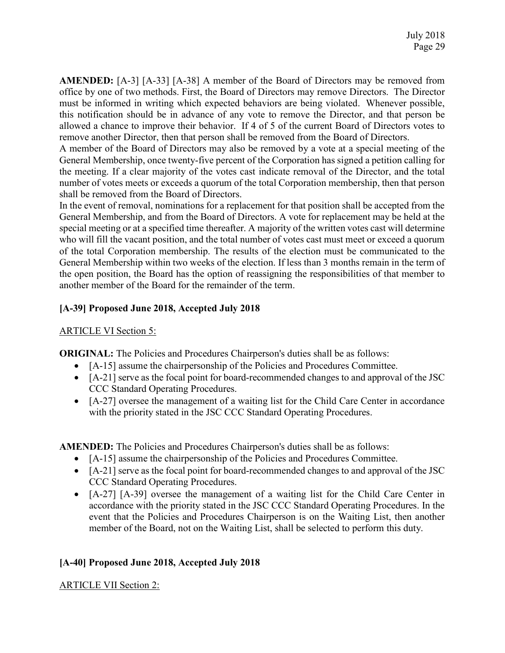AMENDED: [A-3] [A-33] [A-38] A member of the Board of Directors may be removed from office by one of two methods. First, the Board of Directors may remove Directors. The Director must be informed in writing which expected behaviors are being violated. Whenever possible, this notification should be in advance of any vote to remove the Director, and that person be allowed a chance to improve their behavior. If 4 of 5 of the current Board of Directors votes to remove another Director, then that person shall be removed from the Board of Directors.

A member of the Board of Directors may also be removed by a vote at a special meeting of the General Membership, once twenty-five percent of the Corporation has signed a petition calling for the meeting. If a clear majority of the votes cast indicate removal of the Director, and the total number of votes meets or exceeds a quorum of the total Corporation membership, then that person shall be removed from the Board of Directors.

In the event of removal, nominations for a replacement for that position shall be accepted from the General Membership, and from the Board of Directors. A vote for replacement may be held at the special meeting or at a specified time thereafter. A majority of the written votes cast will determine who will fill the vacant position, and the total number of votes cast must meet or exceed a quorum of the total Corporation membership. The results of the election must be communicated to the General Membership within two weeks of the election. If less than 3 months remain in the term of the open position, the Board has the option of reassigning the responsibilities of that member to another member of the Board for the remainder of the term.

# [A-39] Proposed June 2018, Accepted July 2018

## ARTICLE VI Section 5:

ORIGINAL: The Policies and Procedures Chairperson's duties shall be as follows:

- [A-15] assume the chairpersonship of the Policies and Procedures Committee.
- [A-21] serve as the focal point for board-recommended changes to and approval of the JSC CCC Standard Operating Procedures.
- [A-27] oversee the management of a waiting list for the Child Care Center in accordance with the priority stated in the JSC CCC Standard Operating Procedures.

AMENDED: The Policies and Procedures Chairperson's duties shall be as follows:

- [A-15] assume the chairpersonship of the Policies and Procedures Committee.
- [A-21] serve as the focal point for board-recommended changes to and approval of the JSC CCC Standard Operating Procedures.
- [A-27] [A-39] oversee the management of a waiting list for the Child Care Center in accordance with the priority stated in the JSC CCC Standard Operating Procedures. In the event that the Policies and Procedures Chairperson is on the Waiting List, then another member of the Board, not on the Waiting List, shall be selected to perform this duty.

# [A-40] Proposed June 2018, Accepted July 2018

## ARTICLE VII Section 2: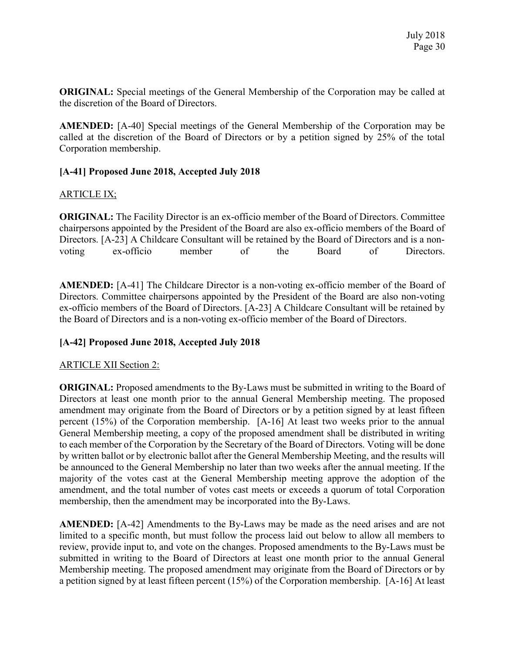ORIGINAL: Special meetings of the General Membership of the Corporation may be called at the discretion of the Board of Directors.

AMENDED: [A-40] Special meetings of the General Membership of the Corporation may be called at the discretion of the Board of Directors or by a petition signed by 25% of the total Corporation membership.

# [A-41] Proposed June 2018, Accepted July 2018

### ARTICLE IX;

ORIGINAL: The Facility Director is an ex-officio member of the Board of Directors. Committee chairpersons appointed by the President of the Board are also ex-officio members of the Board of Directors. [A-23] A Childcare Consultant will be retained by the Board of Directors and is a nonvoting ex-officio member of the Board of Directors.

AMENDED: [A-41] The Childcare Director is a non-voting ex-officio member of the Board of Directors. Committee chairpersons appointed by the President of the Board are also non-voting ex-officio members of the Board of Directors. [A-23] A Childcare Consultant will be retained by the Board of Directors and is a non-voting ex-officio member of the Board of Directors.

## [A-42] Proposed June 2018, Accepted July 2018

## ARTICLE XII Section 2:

ORIGINAL: Proposed amendments to the By-Laws must be submitted in writing to the Board of Directors at least one month prior to the annual General Membership meeting. The proposed amendment may originate from the Board of Directors or by a petition signed by at least fifteen percent (15%) of the Corporation membership. [A-16] At least two weeks prior to the annual General Membership meeting, a copy of the proposed amendment shall be distributed in writing to each member of the Corporation by the Secretary of the Board of Directors. Voting will be done by written ballot or by electronic ballot after the General Membership Meeting, and the results will be announced to the General Membership no later than two weeks after the annual meeting. If the majority of the votes cast at the General Membership meeting approve the adoption of the amendment, and the total number of votes cast meets or exceeds a quorum of total Corporation membership, then the amendment may be incorporated into the By-Laws.

AMENDED: [A-42] Amendments to the By-Laws may be made as the need arises and are not limited to a specific month, but must follow the process laid out below to allow all members to review, provide input to, and vote on the changes. Proposed amendments to the By-Laws must be submitted in writing to the Board of Directors at least one month prior to the annual General Membership meeting. The proposed amendment may originate from the Board of Directors or by a petition signed by at least fifteen percent (15%) of the Corporation membership. [A-16] At least